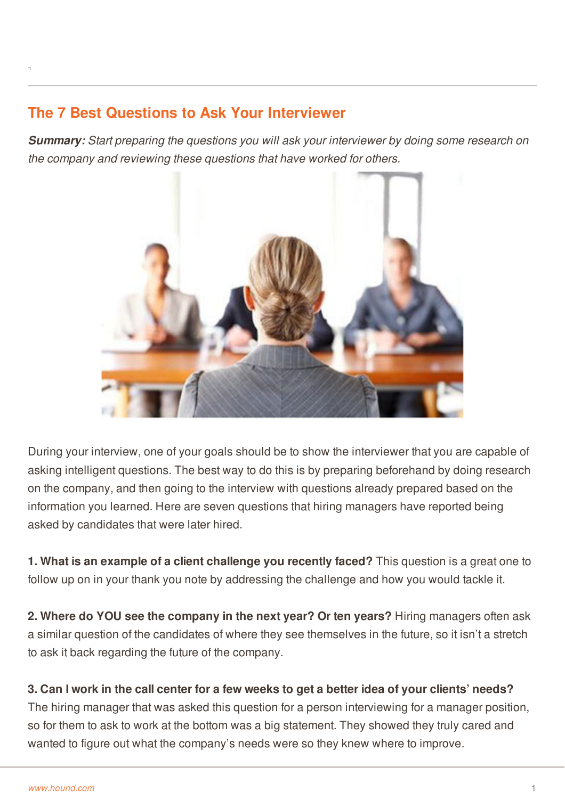## **The 7 Best Questions to Ask Your Interviewer**

*Summary: Start preparing the questions you will ask your interviewer by doing some research on the company and reviewing these questions that have worked for others.*



During your interview, one of your goals should be to show the interviewer that you are capable of asking intelligent questions. The best way to do this is by preparing beforehand by doing research on the company, and then going to the interview with questions already prepared based on the information you learned. Here are seven questions that hiring managers have reported being asked by candidates that were later hired.

**1. What is an example of a client challenge you recently faced?** This question is a great one to follow up on in your thank you note by addressing the challenge and how you would tackle it.

**2. Where do YOU see the company in the next year? Or ten years?** Hiring managers often ask a similar question of the candidates of where they see themselves in the future, so it isn't a stretch to ask it back regarding the future of the company.

## 3. Can I work in the call center for a few weeks to get a better idea of your clients' needs? The [hiring](http://www.hound.com/) manager that was asked this question for a person interviewing for a manager position, so for them to ask to work at the bottom was a big statement. They showed they truly cared and wanted to figure out what the company's needs were so they knew where to improve.